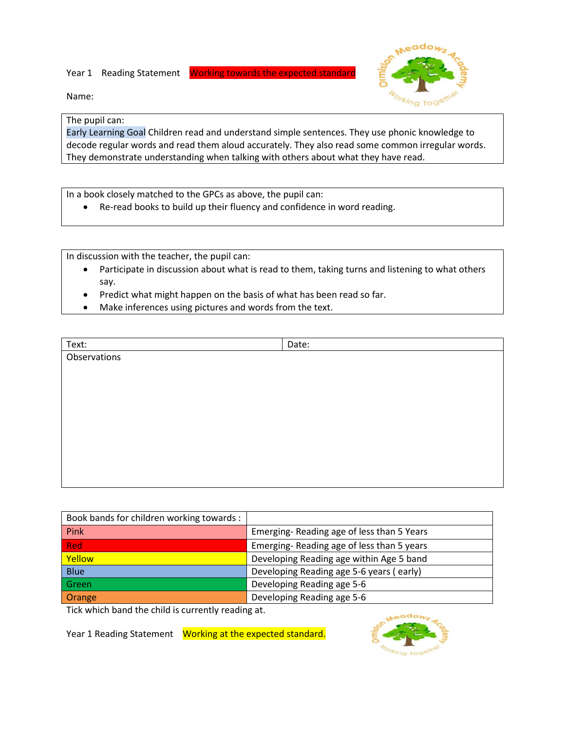Year 1 Reading Statement Working towards the expected standard



Name:

## The pupil can:

Early Learning Goal Children read and understand simple sentences. They use phonic knowledge to decode regular words and read them aloud accurately. They also read some common irregular words. They demonstrate understanding when talking with others about what they have read.

In a book closely matched to the GPCs as above, the pupil can:

Re-read books to build up their fluency and confidence in word reading.

In discussion with the teacher, the pupil can:

- Participate in discussion about what is read to them, taking turns and listening to what others say.
- Predict what might happen on the basis of what has been read so far.
- Make inferences using pictures and words from the text.

| Text:        | Date: |
|--------------|-------|
| Observations |       |
|              |       |
|              |       |
|              |       |
|              |       |
|              |       |
|              |       |
|              |       |
|              |       |
|              |       |

| Book bands for children working towards: |                                           |
|------------------------------------------|-------------------------------------------|
| Pink                                     | Emerging-Reading age of less than 5 Years |
| Red                                      | Emerging-Reading age of less than 5 years |
| Yellow                                   | Developing Reading age within Age 5 band  |
| <b>Blue</b>                              | Developing Reading age 5-6 years (early)  |
| Green                                    | Developing Reading age 5-6                |
| Orange                                   | Developing Reading age 5-6                |

Tick which band the child is currently reading at.

Year 1 Reading Statement Working at the expected standard.

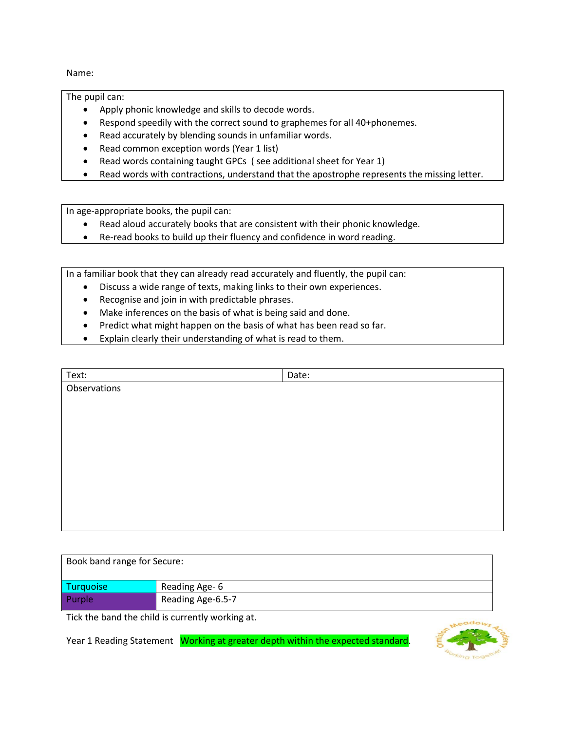Name:

The pupil can:

- Apply phonic knowledge and skills to decode words.
- Respond speedily with the correct sound to graphemes for all 40+phonemes.
- Read accurately by blending sounds in unfamiliar words.
- Read common exception words (Year 1 list)
- Read words containing taught GPCs ( see additional sheet for Year 1)
- Read words with contractions, understand that the apostrophe represents the missing letter.

In age-appropriate books, the pupil can:

- Read aloud accurately books that are consistent with their phonic knowledge.
- Re-read books to build up their fluency and confidence in word reading.

In a familiar book that they can already read accurately and fluently, the pupil can:

- Discuss a wide range of texts, making links to their own experiences.
	- Recognise and join in with predictable phrases.
	- Make inferences on the basis of what is being said and done.
	- Predict what might happen on the basis of what has been read so far.
	- Explain clearly their understanding of what is read to them.

| Text:        | Date: |
|--------------|-------|
| Observations |       |
|              |       |
|              |       |
|              |       |
|              |       |
|              |       |
|              |       |
|              |       |
|              |       |
|              |       |
|              |       |

| Book band range for Secure: |                   |  |
|-----------------------------|-------------------|--|
| <b>Turquoise</b>            | Reading Age- 6    |  |
| Purple                      | Reading Age-6.5-7 |  |

Tick the band the child is currently working at.

Year 1 Reading Statement Working at greater depth within the expected standard.